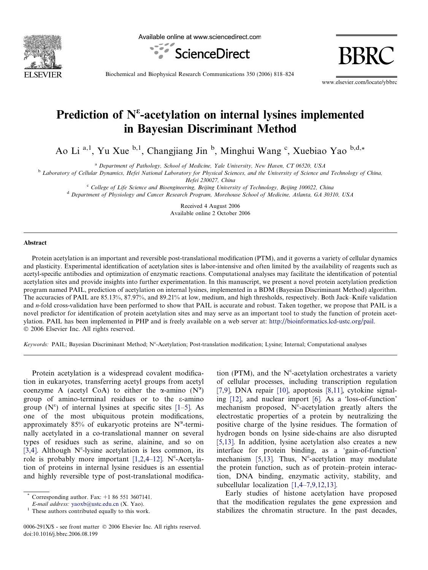

Available online at www.sciencedirect.com



BBRC

Biochemical and Biophysical Research Communications 350 (2006) 818–824

www.elsevier.com/locate/ybbrc

# Prediction of  $N^{\epsilon}$ -acetylation on internal lysines implemented in Bayesian Discriminant Method

Ao Li<sup>a, 1</sup>, Yu Xue <sup>b, 1</sup>, Changjiang Jin <sup>b</sup>, Minghui Wang <sup>c</sup>, Xuebiao Yao <sup>b, d,\*</sup>

<sup>a</sup> Department of Pathology, School of Medicine, Yale University, New Haven, CT 06520, USA

<sup>b</sup> Laboratory of Cellular Dynamics, Hefei National Laboratory for Physical Sciences, and the University of Science and Technology of China,

Hefei 230027, China

<sup>c</sup> College of Life Science and Bioengineering, Beijing University of Technology, Beijing 100022, China

<sup>d</sup> Department of Physiology and Cancer Research Program, Morehouse School of Medicine, Atlanta, GA 30310, USA

Received 4 August 2006 Available online 2 October 2006

#### Abstract

Protein acetylation is an important and reversible post-translational modification (PTM), and it governs a variety of cellular dynamics and plasticity. Experimental identification of acetylation sites is labor-intensive and often limited by the availability of reagents such as acetyl-specific antibodies and optimization of enzymatic reactions. Computational analyses may facilitate the identification of potential acetylation sites and provide insights into further experimentation. In this manuscript, we present a novel protein acetylation prediction program named PAIL, prediction of acetylation on internal lysines, implemented in a BDM (Bayesian Discriminant Method) algorithm. The accuracies of PAIL are 85.13%, 87.97%, and 89.21% at low, medium, and high thresholds, respectively. Both Jack–Knife validation and n-fold cross-validation have been performed to show that PAIL is accurate and robust. Taken together, we propose that PAIL is a novel predictor for identification of protein acetylation sites and may serve as an important tool to study the function of protein acetylation. PAIL has been implemented in PHP and is freely available on a web server at: <http://bioinformatics.lcd-ustc.org/pail>. © 2006 Elsevier Inc. All rights reserved.

Keywords: PAIL; Bayesian Discriminant Method; N<sup>e</sup>-Acetylation; Post-translation modification; Lysine; Internal; Computational analyses

Protein acetylation is a widespread covalent modification in eukaryotes, transferring acetyl groups from acetyl coenzyme A (acetyl CoA) to either the  $\alpha$ -amino (N<sup> $\alpha$ </sup>) group of amino-terminal residues or to the e-amino group  $(N^{\epsilon})$  of internal lysines at specific sites [\[1–5\]](#page-5-0). As one of the most ubiquitous protein modifications, approximately 85% of eukaryotic proteins are  $N^{\alpha}$ -terminally acetylated in a co-translational manner on several types of residues such as serine, alainine, and so on [\[3,4\].](#page-5-0) Although  $N^{\epsilon}$ -lysine acetylation is less common, its role is probably more important [1,2,4-12].  $N^{\epsilon}$ -Acetylation of proteins in internal lysine residues is an essential and highly reversible type of post-translational modifica-

tion (PTM), and the N<sup> $\varepsilon$ </sup>-acetylation orchestrates a variety of cellular processes, including transcription regulation [\[7,9\],](#page-5-0) DNA repair [\[10\],](#page-6-0) apoptosis [\[8,11\],](#page-5-0) cytokine signaling [\[12\]](#page-6-0), and nuclear import [\[6\]](#page-5-0). As a 'loss-of-function' mechanism proposed,  $N^{\epsilon}$ -acetylation greatly alters the electrostatic properties of a protein by neutralizing the positive charge of the lysine residues. The formation of hydrogen bonds on lysine side-chains are also disrupted [\[5,13\].](#page-5-0) In addition, lysine acetylation also creates a new interface for protein binding, as a 'gain-of-function' mechanism [\[5,13\]](#page-5-0). Thus,  $N^{\epsilon}$ -acetylation may modulate the protein function, such as of protein–protein interaction, DNA binding, enzymatic activity, stability, and subcellular localization [\[1,4–7,9,12,13\]](#page-5-0).

Early studies of histone acetylation have proposed that the modification regulates the gene expression and stabilizes the chromatin structure. In the past decades,

Corresponding author. Fax:  $+1$  86 551 3607141.

E-mail address: [yaoxb@ustc.edu.cn](mailto:yaoxb@ustc.edu.cn) (X. Yao).<br><sup>1</sup> These authors contributed equally to this work.

<sup>0006-291</sup>X/\$ - see front matter © 2006 Elsevier Inc. All rights reserved. doi:10.1016/j.bbrc.2006.08.199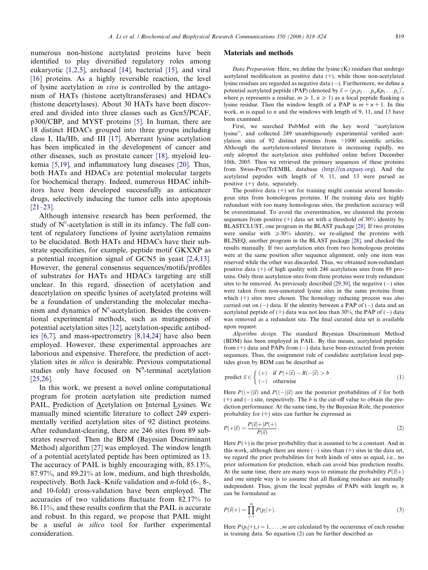numerous non-histone acetylated proteins have been identified to play diversified regulatory roles among eukaryotic [\[1,2,5\]](#page-5-0), archaeal [\[14\],](#page-6-0) bacterial [\[15\]](#page-6-0), and viral [\[16\]](#page-6-0) proteins. As a highly reversible reaction, the level of lysine acetylation in vivo is controlled by the antagonism of HATs (histone acetyltransferases) and HDACs (histone deacetylases). About 30 HATs have been discovered and divided into three classes such as Gcn5/PCAF, p300/CBP, and MYST proteins [\[5\]](#page-5-0). In human, there are 18 distinct HDACs grouped into three groups including class I, IIa/IIb, and III [\[17\]](#page-6-0). Aberrant lysine acetylation has been implicated in the development of cancer and other diseases, such as prostate cancer [\[18\]](#page-6-0), myeloid leukemia [\[5,19\],](#page-5-0) and inflammatory lung diseases [\[20\]](#page-6-0). Thus, both HATs and HDACs are potential molecular targets for biochemical therapy. Indeed, numerous HDAC inhibitors have been developed successfully as anticancer drugs, selectively inducing the tumor cells into apoptosis  $[21-23]$ .

Although intensive research has been performed, the study of  $N^{\epsilon}$ -acetylation is still in its infancy. The full content of regulatory functions of lysine acetylation remains to be elucidated. Both HATs and HDACs have their substrate specificities, for example, peptide motif GKXXP as a potential recognition signal of GCN5 in yeast [\[2,4,13\].](#page-5-0) However, the general consensus sequences/motifs/profiles of substrates for HATs and HDACs targeting are still unclear. In this regard, dissection of acetylation and deacetylation on specific lysines of acetylated proteins will be a foundation of understanding the molecular mechanism and dynamics of  $N^{\epsilon}$ -acetylation. Besides the conventional experimental methods, such as mutagenesis of potential acetylation sites [\[12\]](#page-6-0), acetylation-specific antibodies [\[6,7\],](#page-5-0) and mass-spectrometry [\[8,14,24\]](#page-5-0) have also been employed. However, these experimental approaches are laborious and expensive. Therefore, the prediction of acetylation sites in silico is desirable. Previous computational studies only have focused on  $N^{\alpha}$ -terminal acetylation [\[25,26\].](#page-6-0)

In this work, we present a novel online computational program for protein acetylation site prediction named PAIL, Prediction of Acetylation on Internal Lysines. We manually mined scientific literature to collect 249 experimentally verified acetylation sites of 92 distinct proteins. After redundant-clearing, there are 246 sites from 89 substrates reserved. Then the BDM (Bayesian Discriminant Method) algorithm [\[27\]](#page-6-0) was employed. The window length of a potential acetylated peptide has been optimized as 13. The accuracy of PAIL is highly encouraging with, 85.13%, 87.97%, and 89.21% at low, medium, and high thresholds, respectively. Both Jack–Knife validation and n-fold (6-, 8-, and 10-fold) cross-validation have been employed. The accuracies of two validations fluctuate from 82.17% to 86.11%, and these results confirm that the PAIL is accurate and robust. In this regard, we propose that PAIL might be a useful in silico tool for further experimental consideration.

# Materials and methods

Data Preparation. Here, we define the lysine (K) residues that undergo acetylated modification as positive data  $(+)$ , while those non-acetylated lysine residues are regarded as negative data  $(-)$ . Furthermore, we define a potential acetylated peptide (PAP) (denoted by  $\vec{x} = (p_1 p_2 \dots p_m K p_1 \dots p_n)'$ , where  $p_i$  represents a residue,  $m \ge 1$ ,  $n \ge 1$ ) as a local peptide flanking a lysine residue. Then the window length of a PAP is  $m + n + 1$ . In this work,  $m$  is equal to  $n$  and the windows with length of 9, 11, and 13 have been examined.

First, we searched PubMed with the key word ''acetylation lysine'', and collected 249 unambiguously experimental verified acetylation sites of 92 distinct proteins from >1000 scientific articles. Although the acetylation-related literature is increasing rapidly, we only adopted the acetylation sites published online before December 10th, 2005. Then we retrieved the primary sequences of these proteins from Swiss-Prot/TrEMBL database (<http://cn.expasy.org>). And the acetylated peptides with length of 9, 11, and 13 were parsed as positive (+) data, separately.

The positive data  $(+)$  set for training might contain several homologous sites from homologous proteins. If the training data are highly redundant with too many homologous sites, the prediction accuracy will be overestimated. To avoid the overestimation, we clustered the protein sequences from positive  $(+)$  data set with a threshold of 30% identity by BLASTCLUST, one program in the BLAST package [\[28\].](#page-6-0) If two proteins were similar with  $\geq 30\%$  identity, we re-aligned the proteins with BL2SEQ, another program in the BLAST package [\[28\]](#page-6-0), and checked the results manually. If two acetylation sites from two homologous proteins were at the same position after sequence alignment, only one item was reserved while the other was discarded. Thus, we obtained non-redundant positive data (+) of high quality with 246 acetylation sites from 89 proteins. Only three acetylation sites from three proteins were truly redundant sites to be removed. As previously described  $[29,30]$ , the negative  $(-)$  sites were taken from non-annotated lysine sites in the same proteins from which  $(+)$  sites were chosen. The homology reducing process was also carried out on  $(-)$  data. If the identity between a PAP of  $(-)$  data and an acetylated peptide of  $(+)$  data was not less than 30%, the PAP of  $(-)$  data was removed as a redundant site. The final curated data set is available upon request.

Algorithm design. The standard Bayesian Discriminant Method (BDM) has been employed in PAIL. By this means, acetylated peptides from  $(+)$  data and PAPs from  $(-)$  data have been extracted from protein sequences. Thus, the assignment rule of candidate acetylation local peptides given by BDM can be described as

predict 
$$
\vec{x} \in \begin{cases} (+) & \text{if } P(+|\vec{x}) - R(-|\vec{x}) > b \\ (-) & \text{otherwise} \end{cases}
$$
 (1)

Here  $P((+)|\vec{x})$  and  $P((-)|\vec{x})$  are the posterior probabilities of  $\vec{x}$  for both  $(+)$  and  $(-)$  site, respectively. The b is the cut-off value to obtain the prediction performance. At the same time, by the Bayesian Role, the posterior probability for  $(+)$  sites can further be expressed as

$$
P(+|\vec{x}) = \frac{P(\vec{x}|+)P(+)}{P(\vec{x})}.
$$
\n
$$
(2)
$$

Here  $P(+)$  is the prior probability that is assumed to be a constant. And in this work, although there are more  $(-)$  sites than  $(+)$  sites in the data set, we regard the prior probabilities for both kinds of sites as equal, i.e., no prior information for prediction, which can avoid bias prediction results. At the same time, there are many ways to estimate the probability  $P(\vec{x}|\bm{+})$ and one simple way is to assume that all flanking residues are mutually independent. Thus, given the local peptides of PAPs with length  $m$ , it can be formulated as

$$
P(\vec{x}|+) = \prod_{i=1}^{m} P(p_i|+).
$$
 (3)

Here  $P(p_i|+), i = 1, \ldots, m$  are calculated by the occurrence of each residue in training data. So equation (2) can be further described as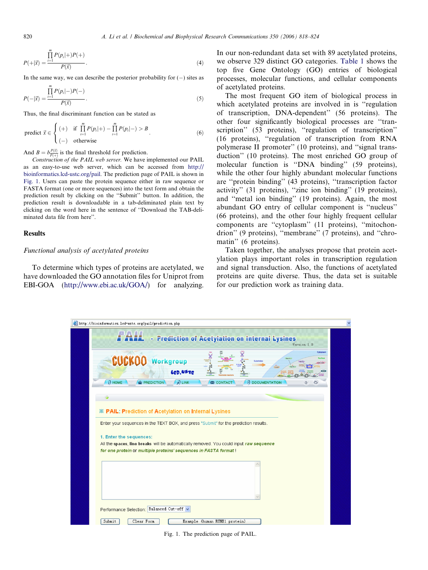$$
P(+|\vec{x}) = \frac{\prod_{i=1}^{m} P(p_i|+)P(+)}{P(\vec{x})}.
$$
\n(4)

In the same way, we can describe the posterior probability for  $(-)$  sites as

$$
P(-|\vec{x}) = \frac{\prod_{i=1}^{m} P(p_i|-)P(-)}{P(\vec{x})}.
$$
\n(5)

Thus, the final discriminant function can be stated as

predict 
$$
\vec{x} \in \begin{cases} (+) & \text{if } \prod_{i=1}^{m} P(p_i|+) - \prod_{i=1}^{m} P(p_i|-) > B \\ (-) & \text{otherwise} \end{cases}
$$
 (6)

And  $B = b\frac{P(\vec{x})}{P(\vec{x})}$  is the final threshold for prediction.

Construction of the PAIL web server. We have implemented our PAIL as an easy-to-use web server, which can be accessed from [http://](http://bioinformatics.lcd-ustc.org/pail) [bioinformatics.lcd-ustc.org/pail.](http://bioinformatics.lcd-ustc.org/pail) The prediction page of PAIL is shown in Fig. 1. Users can paste the protein sequence either in raw sequence or FASTA format (one or more sequences) into the text form and obtain the prediction result by clicking on the ''Submit'' button. In addition, the prediction result is downloadable in a tab-deliminated plain text by clicking on the word here in the sentence of ''Download the TAB-deliminated data file from here''.

## Results

# Functional analysis of acetylated proteins

To determine which types of proteins are acetylated, we have downloaded the GO annotation files for Uniprot from EBI-GOA [\(http://www.ebi.ac.uk/GOA/](http://www.ebi.ac.uk/GOA/)) for analyzing. In our non-redundant data set with 89 acetylated proteins, we observe 329 distinct GO categories. [Table 1](#page-3-0) shows the top five Gene Ontology (GO) entries of biological processes, molecular functions, and cellular components of acetylated proteins.

The most frequent GO item of biological process in which acetylated proteins are involved in is "regulation" of transcription, DNA-dependent'' (56 proteins). The other four significantly biological processes are ''transcription" (53 proteins), "regulation of transcription" (16 proteins), ''regulation of transcription from RNA polymerase II promoter'' (10 proteins), and ''signal transduction'' (10 proteins). The most enriched GO group of molecular function is ''DNA binding'' (59 proteins), while the other four highly abundant molecular functions are ''protein binding'' (43 proteins), ''transcription factor activity" (31 proteins), "zinc ion binding" (19 proteins), and ''metal ion binding'' (19 proteins). Again, the most abundant GO entry of cellular component is ''nucleus'' (66 proteins), and the other four highly frequent cellular components are ''cytoplasm'' (11 proteins), ''mitochondrion'' (9 proteins), ''membrane'' (7 proteins), and ''chromatin'' (6 proteins).

Taken together, the analyses propose that protein acetylation plays important roles in transcription regulation and signal transduction. Also, the functions of acetylated proteins are quite diverse. Thus, the data set is suitable for our prediction work as training data.



Fig. 1. The prediction page of PAIL.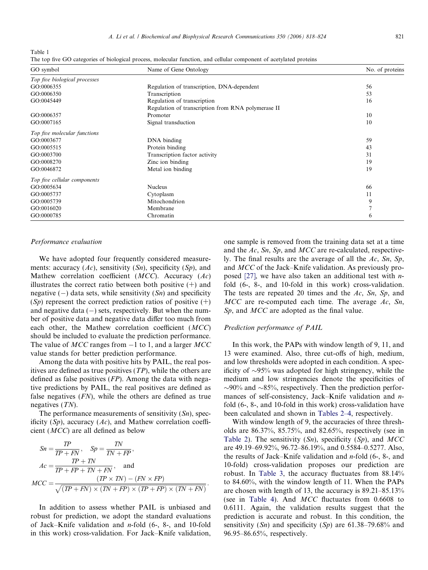<span id="page-3-0"></span>Table 1

The top five GO categories of biological process, molecular function, and cellular component of acetylated proteins

| GO symbol                     | Name of Gene Ontology                              | No. of proteins |
|-------------------------------|----------------------------------------------------|-----------------|
| Top five biological processes |                                                    |                 |
| GO:0006355                    | Regulation of transcription, DNA-dependent         | 56              |
| GO:0006350                    | Transcription                                      | 53              |
| GO:0045449                    | Regulation of transcription                        | 16              |
|                               | Regulation of transcription from RNA polymerase II |                 |
| GO:0006357                    | Promoter                                           | 10              |
| GO:0007165                    | Signal transduction                                | 10              |
| Top five molecular functions  |                                                    |                 |
| GO:0003677                    | DNA binding                                        | 59              |
| GO:0005515                    | Protein binding                                    | 43              |
| GO:0003700                    | Transcription factor activity                      | 31              |
| GO:0008270                    | Zinc ion binding                                   | 19              |
| GO:0046872                    | Metal ion binding                                  | 19              |
| Top five cellular components  |                                                    |                 |
| GO:0005634                    | <b>Nucleus</b>                                     | 66              |
| GO:0005737                    | Cytoplasm                                          | 11              |
| GO:0005739                    | Mitochondrion                                      | 9               |
| GO:0016020                    | Membrane                                           | 7               |
| GO:0000785                    | Chromatin                                          | 6               |

## Performance evaluation

We have adopted four frequently considered measurements: accuracy  $(Ac)$ , sensitivity  $(Sn)$ , specificity  $(Sp)$ , and Mathew correlation coefficient  $(MCC)$ . Accuracy  $(Ac)$ illustrates the correct ratio between both positive  $(+)$  and negative  $(-)$  data sets, while sensitivity  $(Sn)$  and specificity  $(S_p)$  represent the correct prediction ratios of positive  $(+)$ and negative data  $(-)$  sets, respectively. But when the number of positive data and negative data differ too much from each other, the Mathew correlation coefficient (MCC) should be included to evaluate the prediction performance. The value of  $MCC$  ranges from  $-1$  to 1, and a larger  $MCC$ value stands for better prediction performance.

Among the data with positive hits by PAIL, the real positives are defined as true positives  $(TP)$ , while the others are defined as false positives (FP). Among the data with negative predictions by PAIL, the real positives are defined as false negatives  $(FN)$ , while the others are defined as true negatives (TN).

The performance measurements of sensitivity  $(S_n)$ , specificity  $(S_p)$ , accuracy  $(Ac)$ , and Mathew correlation coefficient (MCC) are all defined as below

$$
Sn = \frac{TP}{TP + FN}, \quad Sp = \frac{TN}{TN + FP},
$$
  
\n
$$
Ac = \frac{TP + TN}{TP + FP + TN + FN}, \quad \text{and}
$$
  
\n
$$
MCC = \frac{(TP \times TN) - (FN \times FP)}{\sqrt{(TP + FN) \times (TN + FP) \times (TP + FP) \times (TN + FN)}}.
$$

In addition to assess whether PAIL is unbiased and robust for prediction, we adopt the standard evaluations of Jack–Knife validation and n-fold (6-, 8-, and 10-fold in this work) cross-validation. For Jack–Knife validation, one sample is removed from the training data set at a time and the Ac, Sn, Sp, and MCC are re-calculated, respectively. The final results are the average of all the  $Ac$ , Sn, Sp, and MCC of the Jack–Knife validation. As previously pro-posed [\[27\],](#page-6-0) we have also taken an additional test with  $n$ fold (6-, 8-, and 10-fold in this work) cross-validation. The tests are repeated 20 times and the  $Ac$ , Sn, Sp, and  $MCC$  are re-computed each time. The average Ac, Sn, Sp, and MCC are adopted as the final value.

## Prediction performance of PAIL

In this work, the PAPs with window length of 9, 11, and 13 were examined. Also, three cut-offs of high, medium, and low thresholds were adopted in each condition. A specificity of  $\sim 95\%$  was adopted for high stringency, while the medium and low stringencies denote the specificities of  $\sim$ 90% and  $\sim$ 85%, respectively. Then the prediction performances of self-consistency, Jack–Knife validation and nfold (6-, 8-, and 10-fold in this work) cross-validation have been calculated and shown in [Tables 2–4,](#page-4-0) respectively.

With window length of 9, the accuracies of three thresholds are 86.37%, 85.75%, and 82.65%, respectively (see in [Table 2](#page-4-0)). The sensitivity  $(Sn)$ , specificity  $(Sp)$ , and MCC are 49.19–69.92%, 96.72–86.19%, and 0.5584–0.5277. Also, the results of Jack–Knife validation and n-fold (6-, 8-, and 10-fold) cross-validation proposes our prediction are robust. In [Table 3,](#page-4-0) the accuracy fluctuates from 88.14% to 84.60%, with the window length of 11. When the PAPs are chosen with length of 13, the accuracy is 89.21–85.13% (see in [Table 4\)](#page-4-0). And MCC fluctuates from 0.6608 to 0.6111. Again, the validation results suggest that the prediction is accurate and robust. In this condition, the sensitivity  $(Sn)$  and specificity  $(Sp)$  are 61.38–79.68% and 96.95–86.65%, respectively.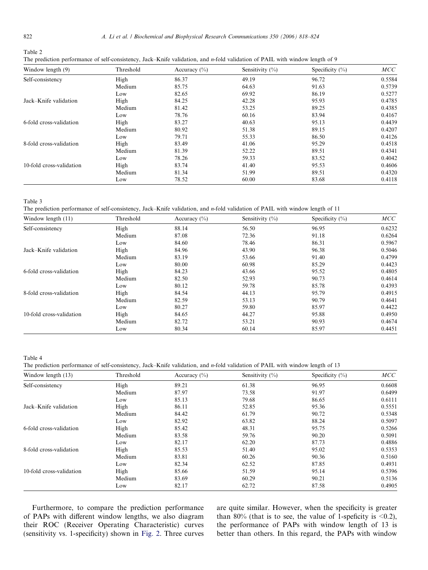<span id="page-4-0"></span>

| Table 2                                                                                                                              |  |  |
|--------------------------------------------------------------------------------------------------------------------------------------|--|--|
| The prediction performance of self-consistency, Jack–Knife validation, and <i>n</i> -fold validation of PAIL with window length of 9 |  |  |

| Window length (9)        | Threshold | Accuracy $(\% )$ | Sensitivity $(\% )$ | Specificity $(\% )$ | MCC    |
|--------------------------|-----------|------------------|---------------------|---------------------|--------|
| Self-consistency         | High      | 86.37            | 49.19               | 96.72               | 0.5584 |
|                          | Medium    | 85.75            | 64.63               | 91.63               | 0.5739 |
|                          | Low       | 82.65            | 69.92               | 86.19               | 0.5277 |
| Jack-Knife validation    | High      | 84.25            | 42.28               | 95.93               | 0.4785 |
|                          | Medium    | 81.42            | 53.25               | 89.25               | 0.4385 |
|                          | Low       | 78.76            | 60.16               | 83.94               | 0.4167 |
| 6-fold cross-validation  | High      | 83.27            | 40.63               | 95.13               | 0.4439 |
|                          | Medium    | 80.92            | 51.38               | 89.15               | 0.4207 |
|                          | Low       | 79.71            | 55.33               | 86.50               | 0.4126 |
| 8-fold cross-validation  | High      | 83.49            | 41.06               | 95.29               | 0.4518 |
|                          | Medium    | 81.39            | 52.22               | 89.51               | 0.4341 |
|                          | Low       | 78.26            | 59.33               | 83.52               | 0.4042 |
| 10-fold cross-validation | High      | 83.74            | 41.40               | 95.53               | 0.4606 |
|                          | Medium    | 81.34            | 51.99               | 89.51               | 0.4320 |
|                          | Low       | 78.52            | 60.00               | 83.68               | 0.4118 |

Table 3

The prediction performance of self-consistency, Jack–Knife validation, and n-fold validation of PAIL with window length of 11

| Window length $(11)$     | Threshold | Accuracy $(\% )$ | Sensitivity $(\% )$ | Specificity $(\% )$ | MCC    |
|--------------------------|-----------|------------------|---------------------|---------------------|--------|
| Self-consistency         | High      | 88.14            | 56.50               | 96.95               | 0.6232 |
|                          | Medium    | 87.08            | 72.36               | 91.18               | 0.6264 |
|                          | Low       | 84.60            | 78.46               | 86.31               | 0.5967 |
| Jack-Knife validation    | High      | 84.96            | 43.90               | 96.38               | 0.5046 |
|                          | Medium    | 83.19            | 53.66               | 91.40               | 0.4799 |
|                          | Low       | 80.00            | 60.98               | 85.29               | 0.4423 |
| 6-fold cross-validation  | High      | 84.23            | 43.66               | 95.52               | 0.4805 |
|                          | Medium    | 82.50            | 52.93               | 90.73               | 0.4614 |
|                          | Low       | 80.12            | 59.78               | 85.78               | 0.4393 |
| 8-fold cross-validation  | High      | 84.54            | 44.13               | 95.79               | 0.4915 |
|                          | Medium    | 82.59            | 53.13               | 90.79               | 0.4641 |
|                          | Low       | 80.27            | 59.80               | 85.97               | 0.4422 |
| 10-fold cross-validation | High      | 84.65            | 44.27               | 95.88               | 0.4950 |
|                          | Medium    | 82.72            | 53.21               | 90.93               | 0.4674 |
|                          | Low       | 80.34            | 60.14               | 85.97               | 0.4451 |

Table 4

The prediction performance of self-consistency, Jack–Knife validation, and n-fold validation of PAIL with window length of 13

| Window length (13)       | Threshold | Accuracy $(\% )$ | Sensitivity $(\% )$ | Specificity $(\% )$ | MCC    |
|--------------------------|-----------|------------------|---------------------|---------------------|--------|
| Self-consistency         | High      | 89.21            | 61.38               | 96.95               | 0.6608 |
|                          | Medium    | 87.97            | 73.58               | 91.97               | 0.6499 |
|                          | Low       | 85.13            | 79.68               | 86.65               | 0.6111 |
| Jack-Knife validation    | High      | 86.11            | 52.85               | 95.36               | 0.5551 |
|                          | Medium    | 84.42            | 61.79               | 90.72               | 0.5348 |
|                          | Low       | 82.92            | 63.82               | 88.24               | 0.5097 |
| 6-fold cross-validation  | High      | 85.42            | 48.31               | 95.75               | 0.5266 |
|                          | Medium    | 83.58            | 59.76               | 90.20               | 0.5091 |
|                          | Low       | 82.17            | 62.20               | 87.73               | 0.4886 |
| 8-fold cross-validation  | High      | 85.53            | 51.40               | 95.02               | 0.5353 |
|                          | Medium    | 83.81            | 60.26               | 90.36               | 0.5160 |
|                          | Low       | 82.34            | 62.52               | 87.85               | 0.4931 |
| 10-fold cross-validation | High      | 85.66            | 51.59               | 95.14               | 0.5396 |
|                          | Medium    | 83.69            | 60.29               | 90.21               | 0.5136 |
|                          | Low       | 82.17            | 62.72               | 87.58               | 0.4905 |

Furthermore, to compare the prediction performance of PAPs with different window lengths, we also diagram their ROC (Receiver Operating Characteristic) curves (sensitivity vs. 1-specificity) shown in [Fig. 2](#page-5-0). Three curves are quite similar. However, when the specificity is greater than 80% (that is to see, the value of 1-speficity is  $\leq 0.2$ ), the performance of PAPs with window length of 13 is better than others. In this regard, the PAPs with window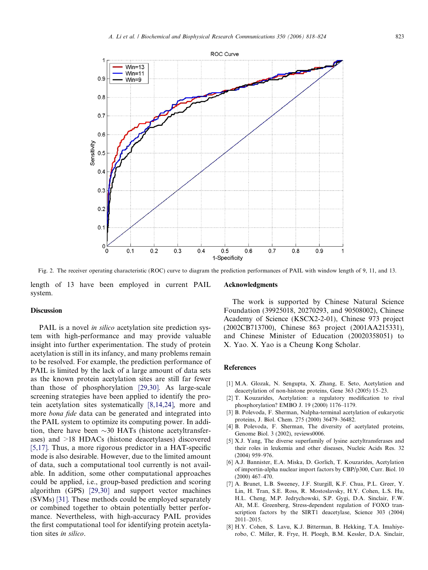<span id="page-5-0"></span>

Fig. 2. The receiver operating characteristic (ROC) curve to diagram the prediction performances of PAIL with window length of 9, 11, and 13.

length of 13 have been employed in current PAIL system.

# Discussion

PAIL is a novel in silico acetylation site prediction system with high-performance and may provide valuable insight into further experimentation. The study of protein acetylation is still in its infancy, and many problems remain to be resolved. For example, the prediction performance of PAIL is limited by the lack of a large amount of data sets as the known protein acetylation sites are still far fewer than those of phosphorylation [\[29,30\]](#page-6-0). As large-scale screening strategies have been applied to identify the protein acetylation sites systematically [8,14,24], more and more *bona fide* data can be generated and integrated into the PAIL system to optimize its computing power. In addition, there have been  $\sim$ 30 HATs (histone acetyltransferases) and >18 HDACs (histone deacetylases) discovered [5,17]. Thus, a more rigorous predictor in a HAT-specific mode is also desirable. However, due to the limited amount of data, such a computational tool currently is not available. In addition, some other computational approaches could be applied, i.e., group-based prediction and scoring algorithm (GPS) [\[29,30\]](#page-6-0) and support vector machines (SVMs) [\[31\].](#page-6-0) These methods could be employed separately or combined together to obtain potentially better performance. Nevertheless, with high-accuracy PAIL provides the first computational tool for identifying protein acetylation sites in silico.

#### Acknowledgments

The work is supported by Chinese Natural Science Foundation (39925018, 20270293, and 90508002), Chinese Academy of Science (KSCX2-2-01), Chinese 973 project (2002CB713700), Chinese 863 project (2001AA215331), and Chinese Minister of Education (20020358051) to X. Yao. X. Yao is a Cheung Kong Scholar.

# References

- [1] M.A. Glozak, N. Sengupta, X. Zhang, E. Seto, Acetylation and deacetylation of non-histone proteins, Gene 363 (2005) 15–23.
- [2] T. Kouzarides, Acetylation: a regulatory modification to rival phosphorylation? EMBO J. 19 (2000) 1176–1179.
- [3] B. Polevoda, F. Sherman, Nalpha-terminal acetylation of eukaryotic proteins, J. Biol. Chem. 275 (2000) 36479–36482.
- [4] B. Polevoda, F. Sherman, The diversity of acetylated proteins, Genome Biol. 3 (2002), reviews0006.
- [5] X.J. Yang, The diverse superfamily of lysine acetyltransferases and their roles in leukemia and other diseases, Nucleic Acids Res. 32 (2004) 959–976.
- [6] A.J. Bannister, E.A. Miska, D. Gorlich, T. Kouzarides, Acetylation of importin-alpha nuclear import factors by CBP/p300, Curr. Biol. 10 (2000) 467–470.
- [7] A. Brunet, L.B. Sweeney, J.F. Sturgill, K.F. Chua, P.L. Greer, Y. Lin, H. Tran, S.E. Ross, R. Mostoslavsky, H.Y. Cohen, L.S. Hu, H.L. Cheng, M.P. Jedrychowski, S.P. Gygi, D.A. Sinclair, F.W. Alt, M.E. Greenberg, Stress-dependent regulation of FOXO transcription factors by the SIRT1 deacetylase, Science 303 (2004) 2011–2015.
- [8] H.Y. Cohen, S. Lavu, K.J. Bitterman, B. Hekking, T.A. Imahiyerobo, C. Miller, R. Frye, H. Ploegh, B.M. Kessler, D.A. Sinclair,